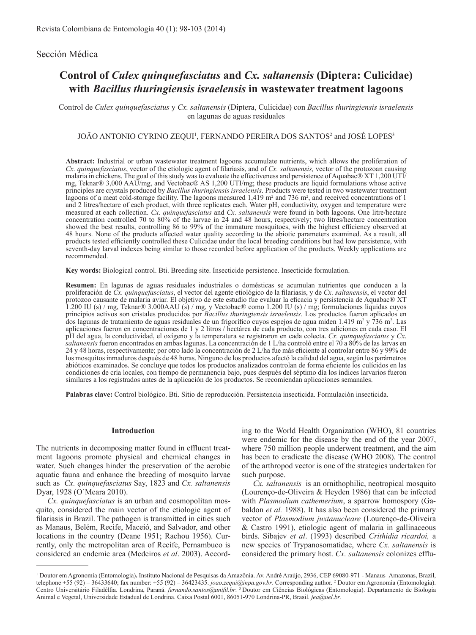## Sección Médica

# **Control of** *Culex quinquefasciatus* **and** *Cx. saltanensis* **(Diptera: Culicidae) with** *Bacillus thuringiensis israelensis* **in wastewater treatment lagoons**

Control de *Culex quinquefasciatus* y *Cx. saltanensis* (Diptera, Culicidae) con *Bacillus thuringiensis israelensis* en lagunas de aguas residuales

#### JOÃO ANTONIO CYRINO ZEQUI<sup>1</sup>, FERNANDO PEREIRA DOS SANTOS<sup>2</sup> and JOSÉ LOPES<sup>3</sup>

**Abstract:** Industrial or urban wastewater treatment lagoons accumulate nutrients, which allows the proliferation of *Cx. quinquefasciatus*, vector of the etiologic agent of filariasis, and of *Cx. saltanensis,* vector of the protozoan causing malaria in chickens. The goal of this study was to evaluate the effectiveness and persistence of Aquabac® XT 1,200 UTI/ mg, Teknar® 3,000 AAU/mg, and Vectobac® AS 1,200 UTI/mg; these products are liquid formulations whose active principles are crystals produced by *Bacillus thuringiensis israelensis*. Products were tested in two wastewater treatment lagoons of a meat cold-storage facility. The lagoons measured  $1,419$  m<sup>2</sup> and 736 m<sup>2</sup>, and received concentrations of 1 and 2 litres/hectare of each product, with three replicates each. Water pH, conductivity, oxygen and temperature were measured at each collection. *Cx. quinquefasciatus* and *Cx. saltanensis* were found in both lagoons. One litre/hectare concentration controlled 70 to 80% of the larvae in 24 and 48 hours, respectively; two litres/hectare concentration showed the best results, controlling 86 to 99% of the immature mosquitoes, with the highest efficiency observed at 48 hours. None of the products affected water quality according to the abiotic parameters examined. As a result, all products tested efficiently controlled these Culicidae under the local breeding conditions but had low persistence, with seventh-day larval indexes being similar to those recorded before application of the products. Weekly applications are recommended.

**Key words:** Biological control. Bti. Breeding site. Insecticide persistence. Insecticide formulation.

**Resumen:** En lagunas de aguas residuales industriales o domésticas se acumulan nutrientes que conducen a la proliferación de *Cx. quinquefasciatus*, el vector del agente etiológico de la filariasis, y de *Cx. saltanensis*, el vector del protozoo causante de malaria aviar. El objetivo de este estudio fue evaluar la eficacia y persistencia de Aquabac® XT 1.200 IU (s) / mg, Teknar® 3.000AAU (s) / mg, y Vectobac® como 1.200 IU (s) / mg; formulaciones líquidas cuyos principios activos son cristales producidos por *Bacillus thuringiensis israelensis*. Los productos fueron aplicados en dos lagunas de tratamiento de aguas residuales de un frigorífico cuyos espejos de agua miden 1.419 m<sup>2</sup> y 736 m<sup>2</sup>. Las aplicaciones fueron en concentraciones de 1 y 2 litros / hectárea de cada producto, con tres adiciones en cada caso. El pH del agua, la conductividad, el oxígeno y la temperatura se registraron en cada colecta. *Cx. quinquefasciatus* y *Cx*. *saltanensis* fueron encontrados en ambas lagunas. La concentración de 1 L/ha controló entre el 70 a 80% de las larvas en 24 y 48 horas, respectivamente; por otro lado la concentración de 2 L/ha fue más eficiente al controlar entre 86 y 99% de los mosquitos inmaduros después de 48 horas. Ninguno de los productos afectó la calidad del agua, según los parámetros abióticos examinados. Se concluye que todos los productos analizados controlan de forma eficiente los culícidos en las condiciones de cría locales, con tiempo de permanencia bajo, pues después del séptimo día los índices larvarios fueron similares a los registrados antes de la aplicación de los productos. Se recomiendan aplicaciones semanales.

**Palabras clave:** Control biológico. Bti. Sitio de reproducción. Persistencia insecticida. Formulación insecticida.

#### **Introduction**

The nutrients in decomposing matter found in effluent treatment lagoons promote physical and chemical changes in water. Such changes hinder the preservation of the aerobic aquatic fauna and enhance the breeding of mosquito larvae such as *Cx. quinquefasciatus* Say, 1823 and *Cx. saltanensis* Dyar, 1928 (O´Meara 2010).

*Cx. quinquefasciatus* is an urban and cosmopolitan mosquito, considered the main vector of the etiologic agent of filariasis in Brazil. The pathogen is transmitted in cities such as Manaus, Belém, Recife, Maceió, and Salvador, and other locations in the country (Deane 1951; Rachou 1956). Currently, only the metropolitan area of Recife, Pernambuco is considered an endemic area (Medeiros *et al*. 2003). According to the World Health Organization (WHO), 81 countries were endemic for the disease by the end of the year 2007, where 750 million people underwent treatment, and the aim has been to eradicate the disease (WHO 2008). The control of the arthropod vector is one of the strategies undertaken for such purpose.

*Cx. saltanensis* is an ornithophilic, neotropical mosquito (Lourenço-de-Oliveira & Heyden 1986) that can be infected with *Plasmodium cathemerium*, a sparrow homospory (Gabaldon *et al.* 1988). It has also been considered the primary vector of *Plasmodium juxtanucleare* (Lourenço-de-Oliveira & Castro 1991), etiologic agent of malaria in gallinaceous birds. Sibajev *et al*. (1993) described *Crithidia ricardoi,* a new species of Trypanosomatidae, where *Cx. saltanensis* is considered the primary host. *Cx. saltanensis* colonizes efflu-

<sup>1</sup> Doutor em Agronomia (Entomologia)**.** Instituto Nacional de Pesquisas da Amazônia. Av. André Araújo, 2936, CEP 69080-971 - Manaus–Amazonas, Brazil, telephone +55 (92) – 36433640; fax number: +55 (92) – 36423435. *joao.zequi@inpa.gov.br*. Corresponding author. 2 Doutor em Agronomia (Entomologia). Centro Universitário Filadélfia. Londrina, Paraná. *fernando.santos@unifil.br*. 3 Doutor em Ciências Biológicas (Entomologia). Departamento de Biologia Animal e Vegetal, Universidade Estadual de Londrina. Caixa Postal 6001, 86051-970 Londrina-PR, Brasil. *jea@uel.br*.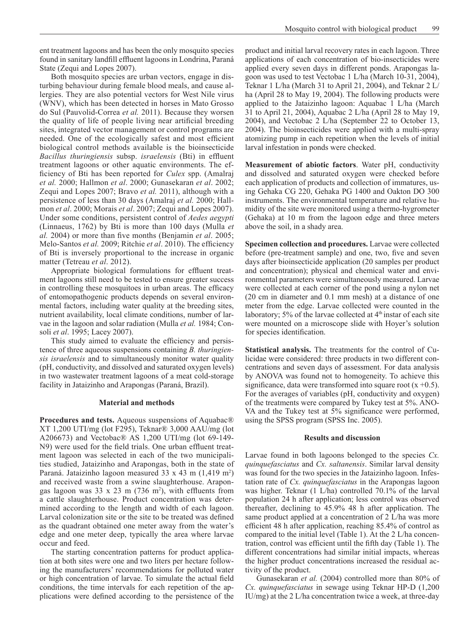ent treatment lagoons and has been the only mosquito species found in sanitary landfill effluent lagoons in Londrina, Paraná State (Zequi and Lopes 2007).

Both mosquito species are urban vectors, engage in disturbing behaviour during female blood meals, and cause allergies. They are also potential vectors for West Nile virus (WNV), which has been detected in horses in Mato Grosso do Sul (Pauvolid-Correa *et al.* 2011). Because they worsen the quality of life of people living near artificial breeding sites, integrated vector management or control programs are needed. One of the ecologically safest and most efficient biological control methods available is the bioinsecticide *Bacillus thuringiensis* subsp. *israelensis* (Bti) in effluent treatment lagoons or other aquatic environments. The efficiency of Bti has been reported for *Culex* spp. (Amalraj *et al.* 2000; Hallmon *et al*. 2000; Gunasekaran *et al*. 2002; Zequi and Lopes 2007; Bravo *et al.* 2011), although with a persistence of less than 30 days (Amalraj *et al.* 2000; Hallmon *et al*. 2000; Morais *et al*. 2007; Zequi and Lopes 2007). Under some conditions, persistent control of *Aedes aegypti*  (Linnaeus, 1762) by Bti is more than 100 days (Mulla *et al.* 2004) or more than five months (Benjamin *et al*. 2005; Melo-Santos *et al.* 2009; Ritchie *et al*. 2010). The efficiency of Bti is inversely proportional to the increase in organic matter (Tetreau *et al*. 2012).

Appropriate biological formulations for effluent treatment lagoons still need to be tested to ensure greater success in controlling these mosquitoes in urban areas. The efficacy of entomopathogenic products depends on several environmental factors, including water quality at the breeding sites, nutrient availability, local climate conditions, number of larvae in the lagoon and solar radiation (Mulla *et al.* 1984; Consoli *et al*. 1995; Lacey 2007).

This study aimed to evaluate the efficiency and persistence of three aqueous suspensions containing *B. thuringiensis israelensis* and to simultaneously monitor water quality (pH, conductivity, and dissolved and saturated oxygen levels) in two wastewater treatment lagoons of a meat cold-storage facility in Jataizinho and Arapongas (Paraná, Brazil).

#### **Material and methods**

**Procedures and tests.** Aqueous suspensions of Aquabac® XT 1,200 UTI/mg (lot F295), Teknar® 3,000 AAU/mg (lot A206673) and Vectobac® AS 1,200 UTI/mg (lot 69-149- N9) were used for the field trials. One urban effluent treatment lagoon was selected in each of the two municipalities studied, Jataizinho and Arapongas, both in the state of Paraná. Jataizinho lagoon measured 33 x 43 m (1,419 m<sup>2</sup>) and received waste from a swine slaughterhouse. Arapongas lagoon was  $33 \times 23$  m (736 m<sup>2</sup>), with effluents from a cattle slaughterhouse. Product concentration was determined according to the length and width of each lagoon. Larval colonization site or the site to be treated was defined as the quadrant obtained one meter away from the water's edge and one meter deep, typically the area where larvae occur and feed.

 The starting concentration patterns for product application at both sites were one and two liters per hectare following the manufacturers' recommendations for polluted water or high concentration of larvae. To simulate the actual field conditions, the time intervals for each repetition of the applications were defined according to the persistence of the

product and initial larval recovery rates in each lagoon. Three applications of each concentration of bio-insecticides were applied every seven days in different ponds. Arapongas lagoon was used to test Vectobac 1 L/ha (March 10-31, 2004), Teknar 1 L/ha (March 31 to April 21, 2004), and Teknar 2 L/ ha (April 28 to May 19, 2004). The following products were applied to the Jataizinho lagoon: Aquabac 1 L/ha (March 31 to April 21, 2004), Aquabac 2 L/ha (April 28 to May 19, 2004), and Vectobac 2 L/ha (September 22 to October 13, 2004). The bioinsecticides were applied with a multi-spray atomizing pump in each repetition when the levels of initial larval infestation in ponds were checked.

**Measurement of abiotic factors**. Water pH, conductivity and dissolved and saturated oxygen were checked before each application of products and collection of immatures, using Gehaka CG 220, Gehaka PG 1400 and Oakton DO 300 instruments. The environmental temperature and relative humidity of the site were monitored using a thermo-hygrometer (Gehaka) at 10 m from the lagoon edge and three meters above the soil, in a shady area.

**Specimen collection and procedures.** Larvae were collected before (pre-treatment sample) and one, two, five and seven days after bioinsecticide application (20 samples per product and concentration); physical and chemical water and environmental parameters were simultaneously measured. Larvae were collected at each corner of the pond using a nylon net (20 cm in diameter and 0.1 mm mesh) at a distance of one meter from the edge. Larvae collected were counted in the laboratory; 5% of the larvae collected at  $4<sup>th</sup>$  instar of each site were mounted on a microscope slide with Hoyer's solution for species identification.

**Statistical analysis.** The treatments for the control of Culicidae were considered: three products in two different concentrations and seven days of assessment. For data analysis by ANOVA was found not to homogeneity. To achieve this significance, data were transformed into square root  $(x +0.5)$ . For the averages of variables (pH, conductivity and oxygen) of the treatments were compared by Tukey test at 5%. ANO-VA and the Tukey test at 5% significance were performed, using the SPSS program (SPSS Inc. 2005).

#### **Results and discussion**

Larvae found in both lagoons belonged to the species *Cx. quinquefasciatus* and *Cx. saltanensis*. Similar larval density was found for the two species in the Jataizinho lagoon. Infestation rate of *Cx. quinquefasciatus* in the Arapongas lagoon was higher. Teknar (1 L/ha) controlled 70.1% of the larval population 24 h after application; less control was observed thereafter, declining to 45.9% 48 h after application. The same product applied at a concentration of 2 L/ha was more efficient 48 h after application, reaching 85.4% of control as compared to the initial level (Table 1). At the 2 L/ha concentration, control was efficient until the fifth day (Table 1). The different concentrations had similar initial impacts, whereas the higher product concentrations increased the residual activity of the product.

Gunasekaran *et al.* (2004) controlled more than 80% of *Cx. quinquefasciatus* in sewage using Teknar HP-D (1,200 IU/mg) at the 2 L/ha concentration twice a week, at three-day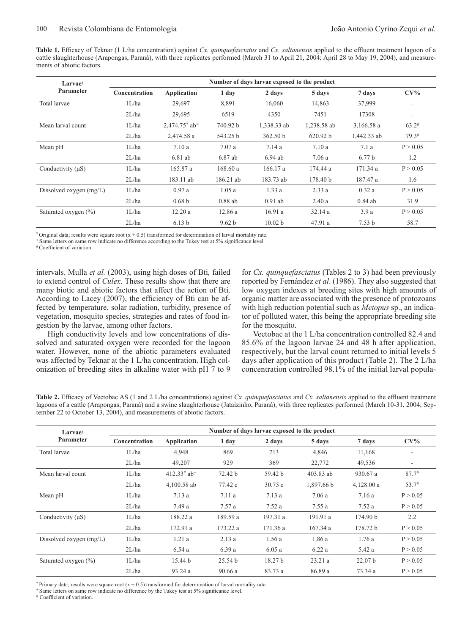**Table 1.** Efficacy of Teknar (1 L/ha concentration) against *Cx. quinquefasciatus* and *Cx. saltanensis* applied to the effluent treatment lagoon of a cattle slaughterhouse (Arapongas, Paraná), with three replicates performed (March 31 to April 21, 2004; April 28 to May 19, 2004), and measurements of abiotic factors.

| Larvae/                   | Number of days larvae exposed to the product |                    |           |                    |             |                   |                          |  |
|---------------------------|----------------------------------------------|--------------------|-----------|--------------------|-------------|-------------------|--------------------------|--|
| Parameter                 | Concentration                                | <b>Application</b> | 1 day     | 2 days             | 5 days      | 7 days            | $CV\%$                   |  |
| Total larvae              | 1L/ha                                        | 29,697             | 8,891     | 16,060             | 14,863      | 37,999            | ۰                        |  |
|                           | 2L/ha                                        | 29,695             | 6519      | 4350               | 7451        | 17308             | $\overline{\phantom{a}}$ |  |
| Mean larval count         | 1L/ha                                        | $2,474.75$ * ab+   | 740.92 b  | 1,338.33 ab        | 1,238.58 ab | 3,166.58a         | $63.2^{\#}$              |  |
|                           | 2L/ha                                        | 2,474.58 a         | 543.25 b  | 362.50 b           | 620.92 b    | 1,442.33 ab       | 79.3#                    |  |
| Mean pH                   | 1L/ha                                        | 7.10a              | 7.07a     | 7.14a              | 7.10a       | 7.1a              | P > 0.05                 |  |
|                           | 2L/ha                                        | $6.81$ ab          | 6.87 ab   | $6.94$ ab          | 7.06a       | 6.77 <sub>b</sub> | 1.2                      |  |
| Conductivity (uS)         | 1L/ha                                        | 165.87 a           | 168.60a   | 166.17a            | 174.44 a    | 171.34 a          | P > 0.05                 |  |
|                           | 2L/ha                                        | 183.11 ab          | 186.21 ab | 183.73 ab          | 178.40 b    | 187.47 a          | 1.6                      |  |
| Dissolved oxygen $(mg/L)$ | 1L/ha                                        | 0.97a              | 1.05a     | 1.33a              | 2.33a       | 0.32a             | P > 0.05                 |  |
|                           | 2L/ha                                        | 0.68 <sub>b</sub>  | $0.88$ ab | $0.91$ ab          | 2.40a       | $0.84$ ab         | 31.9                     |  |
| Saturated oxygen (%)      | 1L/ha                                        | 12.20a             | 12.86a    | 16.91a             | 32.14a      | 3.9a              | P > 0.05                 |  |
|                           | 2L/ha                                        | 6.13 <sub>b</sub>  | 9.62 b    | 10.02 <sub>b</sub> | 47.91 a     | 7.53 <sub>b</sub> | 58.7                     |  |

\* Original data; results were square root  $(x + 0.5)$  transformed for determination of larval mortality rate.

Same letters on same row indicate no difference according to the Tukey test at 5% significance level.

#Coefficient of variation.

intervals. Mulla *et al.* (2003), using high doses of Bti*,* failed to extend control of *Culex*. These results show that there are many biotic and abiotic factors that affect the action of Bti. According to Lacey (2007), the efficiency of Bti can be affected by temperature, solar radiation, turbidity, presence of vegetation, mosquito species, strategies and rates of food ingestion by the larvae, among other factors.

High conductivity levels and low concentrations of dissolved and saturated oxygen were recorded for the lagoon water. However, none of the abiotic parameters evaluated was affected by Teknar at the 1 L/ha concentration. High colonization of breeding sites in alkaline water with pH 7 to 9

for *Cx. quinquefasciatus* (Tables 2 to 3) had been previously reported by Fernández *et al*. (1986). They also suggested that low oxygen indexes at breeding sites with high amounts of organic matter are associated with the presence of protozoans with high reduction potential such as *Metopus* sp., an indicator of polluted water, this being the appropriate breeding site for the mosquito.

Vectobac at the 1 L/ha concentration controlled 82.4 and 85.6% of the lagoon larvae 24 and 48 h after application, respectively, but the larval count returned to initial levels 5 days after application of this product (Table 2). The 2 L/ha concentration controlled 98.1% of the initial larval popula-

**Table 2.** Efficacy of Vectobac AS (1 and 2 L/ha concentrations) against *Cx. quinquefasciatus* and *Cx. saltanensis* applied to the effluent treatment lagoons of a cattle (Arapongas, Paraná) and a swine slaughterhouse (Jataizinho, Paraná), with three replicates performed (March 10-31, 2004; September 22 to October 13, 2004), and measurements of abiotic factors.

| Larvae/                   | Number of days larvae exposed to the product |                           |                    |         |            |                    |                          |  |
|---------------------------|----------------------------------------------|---------------------------|--------------------|---------|------------|--------------------|--------------------------|--|
| Parameter                 | Concentration                                | Application               | 1 day              | 2 days  | 5 days     | 7 days             | $CV\%$                   |  |
| Total larvae              | 1L/ha                                        | 4,948                     | 869                | 713     | 4,846      | 11,168             |                          |  |
|                           | 2L/ha                                        | 49,207                    | 929                | 369     | 22,772     | 49,536             | $\overline{\phantom{a}}$ |  |
| Mean larval count         | 1L/ha                                        | $412.33*$ ab <sup>+</sup> | 72.42 b            | 59.42 b | 403.83 ab  | 930.67 a           | 87.7#                    |  |
|                           | 2L/ha                                        | $4,100.58$ ab             | 77.42 c            | 30.75c  | 1,897.66 b | 4,128.00a          | 53.7#                    |  |
| Mean pH                   | 1L/ha                                        | 7.13a                     | 7.11a              | 7.13a   | 7.06a      | 7.16a              | P > 0.05                 |  |
|                           | 2L/ha                                        | 7.49 a                    | 7.57 a             | 7.52a   | 7.55a      | 7.52a              | P > 0.05                 |  |
| Conductivity (uS)         | 1L/ha                                        | 188.22 a                  | 189.59 a           | 197.31a | 191.91 a   | 174.90 b           | 2.2                      |  |
|                           | 2L/ha                                        | 172.91 a                  | 173.22 a           | 171.36a | 167.34a    | 178.72 b           | P > 0.05                 |  |
| Dissolved oxygen $(mg/L)$ | 1L/ha                                        | 1.21a                     | 2.13a              | 1.56a   | 1.86a      | 1.76a              | P > 0.05                 |  |
|                           | 2L/ha                                        | 6.54a                     | 6.39a              | 6.05a   | 6.22a      | 5.42 a             | P > 0.05                 |  |
| Saturated oxygen $(\% )$  | 1L/ha                                        | 15.44 b                   | 25.54 <sub>b</sub> | 18.27 b | 23.21a     | 22.07 <sub>b</sub> | P > 0.05                 |  |
|                           | 2L/ha                                        | 93.24 a                   | 90.66a             | 83.73 a | 86.89 a    | 73.34 a            | P > 0.05                 |  |

\* Primary data; results were square root  $(x + 0.5)$  transformed for determination of larval mortality rate.

<sup>+</sup> Same letters on same row indicate no difference by the Tukey test at 5% significance level.

# Coefficient of variation.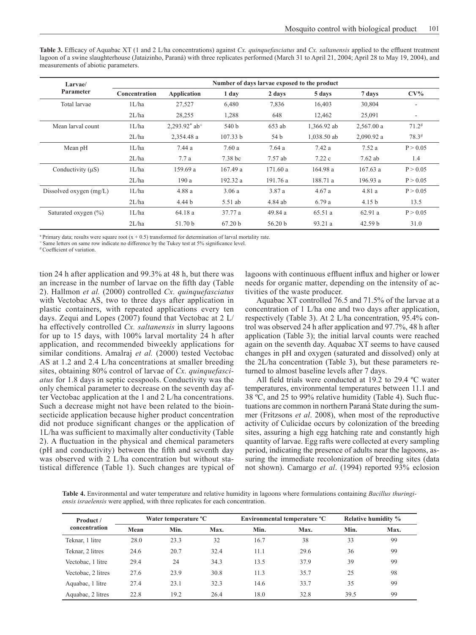| <b>Table 3.</b> Efficacy of Aquabac XT (1 and 2 L/ha concentrations) against Cx. <i>quinquefasciatus</i> and Cx. <i>saltanensis</i> applied to the effluent treatment |
|-----------------------------------------------------------------------------------------------------------------------------------------------------------------------|
| lagoon of a swine slaughterhouse (Jataizinho, Paraná) with three replicates performed (March 31 to April 21, 2004; April 28 to May 19, 2004), and                     |
| measurements of abiotic parameters.                                                                                                                                   |

| Larvae/                  | Number of days larvae exposed to the product |                              |          |                    |             |                    |                          |  |
|--------------------------|----------------------------------------------|------------------------------|----------|--------------------|-------------|--------------------|--------------------------|--|
| Parameter                | <b>Concentration</b>                         | <b>Application</b>           | 1 day    | 2 days             | 5 days      | 7 days             | $CV\%$                   |  |
| Total larvae             | 1L/ha                                        | 27,527                       | 6,480    | 7,836              | 16,403      | 30,804             |                          |  |
|                          | 2L/ha                                        | 28,255                       | 1,288    | 648                | 12,462      | 25,091             | $\overline{\phantom{a}}$ |  |
| Mean larval count        | 1L/ha                                        | $2,293.92^*$ ab <sup>+</sup> | 540 b    | 653 ab             | 1,366.92 ab | 2,567.00 a         | $71.2^{\#}$              |  |
|                          | 2L/ha                                        | 2,354.48 a                   | 107.33 b | 54 b               | 1,038.50 ab | 2,090.92 a         | $78.3^{\#}$              |  |
| Mean pH                  | 1L/ha                                        | 7.44 a                       | 7.60a    | 7.64a              | 7.42a       | 7.52a              | P > 0.05                 |  |
|                          | 2L/ha                                        | 7.7a                         | 7.38 bc  | 7.57 ab            | 7.22c       | $7.62$ ab          | 1.4                      |  |
| Conductivity $(\mu S)$   | 1L/ha                                        | 159.69 a                     | 167.49a  | 171.60a            | 164.98a     | 167.63a            | P > 0.05                 |  |
|                          | 2L/ha                                        | 190a                         | 192.32 a | 191.76 a           | 188.71 a    | 196.93a            | P > 0.05                 |  |
| Dissolved oxygen (mg/L)  | 1L/ha                                        | 4.88 a                       | 3.06a    | 3.87 a             | 4.67a       | 4.81 a             | P > 0.05                 |  |
|                          | 2L/ha                                        | 4.44 <sub>b</sub>            | 5.51 ab  | 4.84 ab            | 6.79a       | 4.15 <sub>b</sub>  | 13.5                     |  |
| Saturated oxygen $(\% )$ | 1L/ha                                        | 64.18 a                      | 37.77 a  | 49.84 a            | 65.51 a     | 62.91 a            | P > 0.05                 |  |
|                          | 2L/ha                                        | 51.70 b                      | 67.20 h  | 56.20 <sub>b</sub> | 93.21a      | 42.59 <sub>b</sub> | 31.0                     |  |

\* Primary data; results were square root  $(x + 0.5)$  transformed for determination of larval mortality rate.

<sup>+</sup> Same letters on same row indicate no difference by the Tukey test at 5% significance level.

#Coefficient of variation.

tion 24 h after application and 99.3% at 48 h, but there was an increase in the number of larvae on the fifth day (Table 2). Hallmon *et al.* (2000) controlled *Cx. quinquefasciatus* with Vectobac AS, two to three days after application in plastic containers, with repeated applications every ten days. Zequi and Lopes (2007) found that Vectobac at 2 L/ ha effectively controlled *Cx. saltanensis* in slurry lagoons for up to 15 days, with 100% larval mortality 24 h after application, and recommended biweekly applications for similar conditions. Amalraj *et al.* (2000) tested Vectobac AS at 1.2 and 2.4 L/ha concentrations at smaller breeding sites, obtaining 80% control of larvae of *Cx. quinquefasciatus* for 1.8 days in septic cesspools. Conductivity was the only chemical parameter to decrease on the seventh day after Vectobac application at the 1 and 2 L/ha concentrations. Such a decrease might not have been related to the bioinsecticide application because higher product concentration did not produce significant changes or the application of 1L/ha was sufficient to maximally alter conductivity (Table 2). A fluctuation in the physical and chemical parameters (pH and conductivity) between the fifth and seventh day was observed with 2 L/ha concentration but without statistical difference (Table 1). Such changes are typical of

lagoons with continuous effluent influx and higher or lower needs for organic matter, depending on the intensity of activities of the waste producer.

Aquabac XT controlled 76.5 and 71.5% of the larvae at a concentration of 1 L/ha one and two days after application, respectively (Table 3). At 2 L/ha concentration, 95.4% control was observed 24 h after application and 97.7%, 48 h after application (Table 3); the initial larval counts were reached again on the seventh day. Aquabac XT seems to have caused changes in pH and oxygen (saturated and dissolved) only at the 2L/ha concentration (Table 3), but these parameters returned to almost baseline levels after 7 days.

All field trials were conducted at 19.2 to 29.4 ºC water temperatures, environmental temperatures between 11.1 and 38 ºC, and 25 to 99% relative humidity (Table 4). Such fluctuations are common in northern Paraná State during the summer (Fritzsons *et al*. 2008), when most of the reproductive activity of Culicidae occurs by colonization of the breeding sites, assuring a high egg hatching rate and constantly high quantity of larvae. Egg rafts were collected at every sampling period, indicating the presence of adults near the lagoons, assuring the immediate recolonization of breeding sites (data not shown). Camargo *et al*. (1994) reported 93% eclosion

**Table 4.** Environmental and water temperature and relative humidity in lagoons where formulations containing *Bacillus thuringiensis israelensis* were applied, with three replicates for each concentration.

| Product/<br>concentration |      | Water temperature <sup>o</sup> C |      |      | Environmental temperature °C |      | <b>Relative humidity %</b> |  |
|---------------------------|------|----------------------------------|------|------|------------------------------|------|----------------------------|--|
|                           | Mean | Min.                             | Max. | Min. | Max.                         | Min. | Max.                       |  |
| Teknar, 1 litre           | 28.0 | 23.3                             | 32   | 16.7 | 38                           | 33   | 99                         |  |
| Teknar, 2 litres          | 24.6 | 20.7                             | 32.4 | 11.1 | 29.6                         | 36   | 99                         |  |
| Vectobac, 1 litre         | 29.4 | 24                               | 34.3 | 13.5 | 37.9                         | 39   | 99                         |  |
| Vectobac, 2 litres        | 27.6 | 23.9                             | 30.8 | 11.3 | 35.7                         | 25   | 98                         |  |
| Aquabac, 1 litre          | 27.4 | 23.1                             | 32.3 | 14.6 | 33.7                         | 35   | 99                         |  |
| Aquabac, 2 litres         | 22.8 | 19.2                             | 26.4 | 18.0 | 32.8                         | 39.5 | 99                         |  |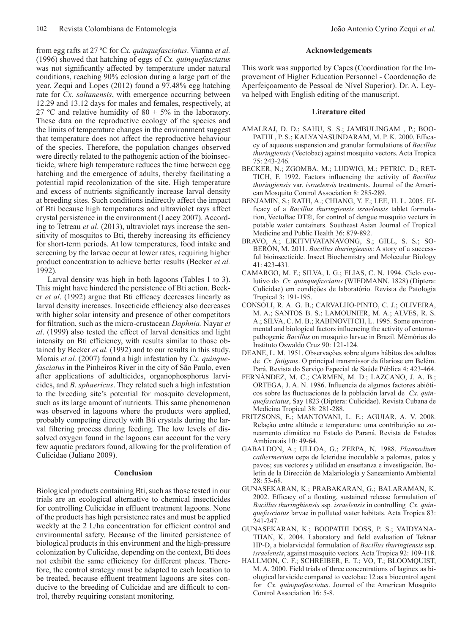from egg rafts at 27 ºC for *Cx. quinquefasciatus*. Vianna *et al.* (1996) showed that hatching of eggs of *Cx. quinquefasciatus* was not significantly affected by temperature under natural conditions, reaching 90% eclosion during a large part of the year. Zequi and Lopes (2012) found a 97.48% egg hatching rate for *Cx. saltanensis*, with emergence occurring between 12.29 and 13.12 days for males and females, respectively, at 27 °C and relative humidity of 80  $\pm$  5% in the laboratory. These data on the reproductive ecology of the species and the limits of temperature changes in the environment suggest that temperature does not affect the reproductive behaviour of the species. Therefore, the population changes observed were directly related to the pathogenic action of the bioinsecticide, where high temperature reduces the time between egg hatching and the emergence of adults, thereby facilitating a potential rapid recolonization of the site. High temperature and excess of nutrients significantly increase larval density at breeding sites. Such conditions indirectly affect the impact of Bti because high temperatures and ultraviolet rays affect crystal persistence in the environment (Lacey 2007). According to Tetreau *et al*. (2013), ultraviolet rays increase the sensitivity of mosquitos to Bti, thereby increasing its efficiency for short-term periods. At low temperatures, food intake and screening by the larvae occur at lower rates, requiring higher product concentration to achieve better results (Becker *et al.* 1992).

Larval density was high in both lagoons (Tables 1 to 3). This might have hindered the persistence of Bti action. Becker *et al*. (1992) argue that Bti efficacy decreases linearly as larval density increases. Insecticide efficiency also decreases with higher solar intensity and presence of other competitors for filtration, such as the micro-crustacean *Daphnia.* Nayar *et al*. (1999) also tested the effect of larval densities and light intensity on Bti efficiency, with results similar to those obtained by Becker *et al.* (1992) and to our results in this study. Morais *et al.* (2007) found a high infestation by *Cx. quinquefasciatus* in the Pinheiros River in the city of São Paulo, even after applications of adulticides, organophosphorus larvicides, and *B. sphaericus*. They related such a high infestation to the breeding site's potential for mosquito development, such as its large amount of nutrients. This same phenomenon was observed in lagoons where the products were applied, probably competing directly with Bti crystals during the larval filtering process during feeding. The low levels of dissolved oxygen found in the lagoons can account for the very few aquatic predators found, allowing for the proliferation of Culicidae (Juliano 2009).

#### **Conclusion**

Biological products containing Bti, such as those tested in our trials are an ecological alternative to chemical insecticides for controlling Culicidae in effluent treatment lagoons. None of the products has high persistence rates and must be applied weekly at the 2 L/ha concentration for efficient control and environmental safety. Because of the limited persistence of biological products in this environment and the high-pressure colonization by Culicidae, depending on the context, Bti does not exhibit the same efficiency for different places. Therefore, the control strategy must be adapted to each location to be treated, because effluent treatment lagoons are sites conducive to the breeding of Culicidae and are difficult to control, thereby requiring constant monitoring.

#### **Acknowledgements**

This work was supported by Capes (Coordination for the Improvement of Higher Education Personnel - Coordenação de Aperfeiçoamento de Pessoal de Nível Superior). Dr. A. Leyva helped with English editing of the manuscript.

### **Literature cited**

- AMALRAJ, D. D.; SAHU, S. S.; JAMBULINGAM , P.; BOO-PATHI , P. S.; KALYANASUNDARAM, M. P. K. 2000. Efficacy of aqueous suspension and granular formulations of *Bacillus thuringiensis* (Vectobac) against mosquito vectors. Acta Tropica 75: 243-246.
- BECKER, N.; ZGOMBA, M.; LUDWIG, M.; PETRIC, D.; RET-TICH, F. 1992. Factors influencing the activity of *Bacillus thuringiensis* var. *israelensis* treatments. Journal of the American Mosquito Control Association 8: 285-289.
- BENJAMIN, S.; RATH, A.; CHIANG, Y. F.; LEE, H. L. 2005. Efficacy of a *Bacillus thuringiensis israelensis* tablet formulation, VectoBac DT®, for control of dengue mosquito vectors in potable water containers. Southeast Asian Journal of Tropical Medicine and Public Health 36: 879-892.
- BRAVO, A.; LIKITVIVATANAVONG, S.; GILL, S. S.; SO-BERÓN, M. 2011. *Bacillus thuringiensis*: A story of a successful bioinsecticide. Insect Biochemistry and Molecular Biology  $41.423 - 431$
- CAMARGO, M. F.; SILVA, I. G.; ELIAS, C. N. 1994. Ciclo evolutivo do *Cx. quinquefasciatus* (WIEDMANN. 1828) (Diptera: Culicidae) em condições de laboratório. Revista de Patologia Tropical 3: 191-195.
- CONSOLI, R. A. G. B.; CARVALHO-PINTO, C. J.; OLIVEIRA, M. A.; SANTOS B. S.; LAMOUNIER, M. A.; ALVES, R. S. A.; SILVA, C. M. B.; RABINOVITCH, L. 1995. Some environmental and biological factors influencing the activity of entomopathogenic *Bacillus* on mosquito larvae in Brazil. Mémórias do Instituto Oswaldo Cruz 90: 121-124.
- DEANE, L. M. 1951. Observações sobre alguns hábitos dos adultos de *Cx. fatigans*. O principal transmissor da filariose em Belém. Pará. Revista do Serviço Especial de Saúde Pública 4: 423-464.
- FERNÁNDEZ, M. C.; CARMEN, M. D.; LAZCANO, J. A. B.; ORTEGA, J. A. N. 1986. Influencia de algunos factores abióticos sobre las fluctuaciones de la población larval de *Cx. quinquefasciatus*, Say 1823 (Diptera: Culicidae). Revista Cubana de Medicina Tropical 38: 281-288.
- FRITZSONS, E.; MANTOVANI, L. E.; AGUIAR, A. V. 2008. Relação entre altitude e temperatura: uma contribuição ao zoneamento climático no Estado do Paraná. Revista de Estudos Ambientais 10: 49-64.
- GABALDON, A.; ULLOA, G.; ZERPA, N. 1988. *Plasmodium cathermerium* cepa de Icteridae inoculable a palomas, patos y pavos; sus vectores y utilidad en enseñanza e investigación. Boletín de la Dirección de Malariología y Saneamiento Ambiental 28: 53-68.
- GUNASEKARAN, K.; PRABAKARAN, G.; BALARAMAN, K. 2002. Efficacy of a floating, sustained release formulation of *Bacillus thuringhiensis* ssp*. israelensis* in controlling *Cx. quinquefasciatus* larvae in polluted water habitats. Acta Tropica 83: 241-247.
- GUNASEKARAN, K.; BOOPATHI DOSS, P. S.; VAIDYANA-THAN, K. 2004. Laboratory and field evaluation of Teknar HP-D, a biolarvicidal formulation of *Bacillus thuringiensis* ssp. *israelensis*, against mosquito vectors. Acta Tropica 92: 109-118.
- HALLMON, C. F.; SCHREIBER, E. T.; VO, T.; BLOOMQUIST, M. A. 2000. Field trials of three concentrations of laginex as biological larvicide compared to vectobac 12 as a biocontrol agent for *Cx. quinquefasciatus*. Journal of the American Mosquito Control Association 16: 5-8.